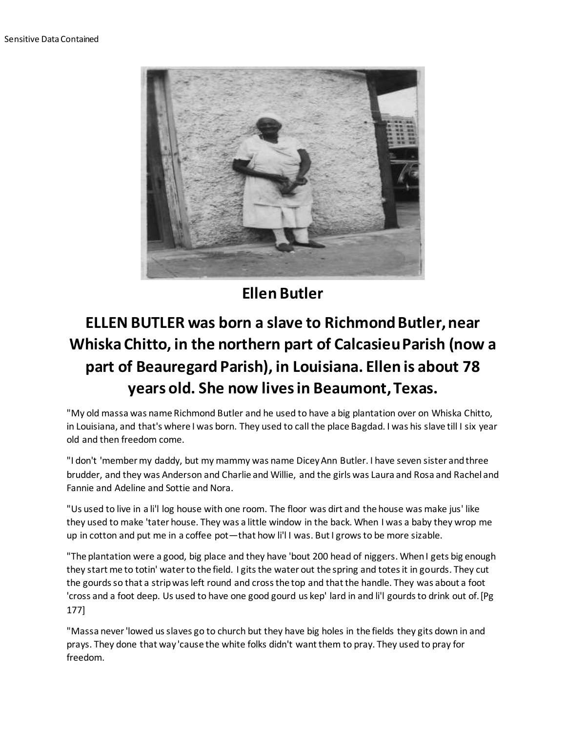

**Ellen Butler**

## **ELLEN BUTLER was born a slave to Richmond Butler, near Whiska Chitto, in the northern part of Calcasieu Parish (now a part of Beauregard Parish), in Louisiana. Ellen is about 78 years old. She now lives in Beaumont, Texas.**

"My old massa was name Richmond Butler and he used to have a big plantation over on Whiska Chitto, in Louisiana, and that's where I was born. They used to call the place Bagdad. I was his slave till I six year old and then freedom come.

"I don't 'member my daddy, but my mammy was name Dicey Ann Butler. I have seven sister and three brudder, and they was Anderson and Charlie and Willie, and the girls was Laura and Rosa and Rachel and Fannie and Adeline and Sottie and Nora.

"Us used to live in a li'l log house with one room. The floor was dirt and the house was make jus' like they used to make 'tater house. They was a little window in the back. When I was a baby they wrop me up in cotton and put me in a coffee pot—that how li'l I was. But I grows to be more sizable.

"The plantation were a good, big place and they have 'bout 200 head of niggers. When I gets big enough they start me to totin' water to the field. I gits the water out the spring and totes it in gourds. They cut the gourds so that a strip was left round and cross the top and that the handle. They was about a foot 'cross and a foot deep. Us used to have one good gourd us kep' lard in and li'l gourds to drink out of.[Pg 177]

"Massa never 'lowed us slaves go to church but they have big holes in the fields they gits down in and prays. They done that way 'cause the white folks didn't want them to pray. They used to pray for freedom.